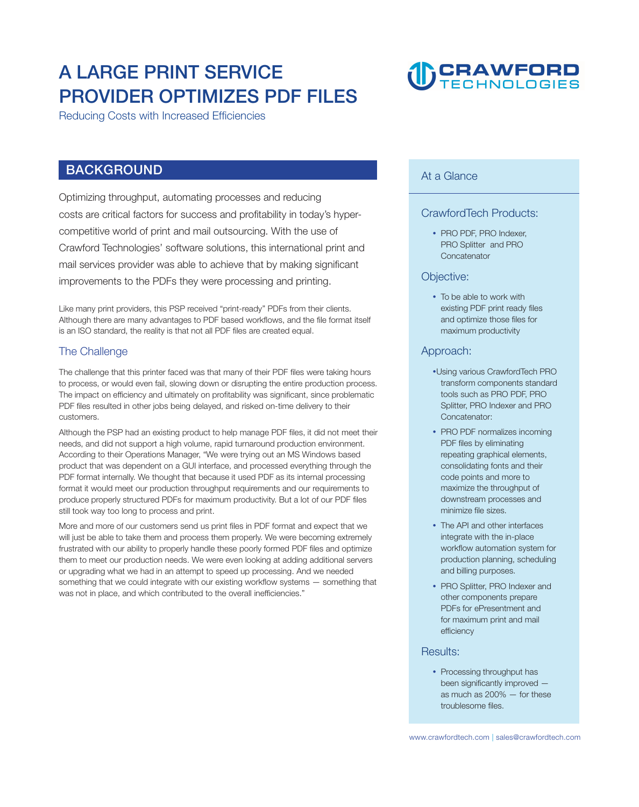# **A LARGE PRINT SERVICE PROVIDER OPTIMIZES PDF FILES**

**Reducing Costs with Increased Efficiencies** 

### **BACKGROUND**

**Optimizing throughput, automating processes and reducing costs are critical factors for success and profitability in today's hypercompetitive world of print and mail outsourcing. With the use of Crawford Technologies' software solutions, this international print and mail services provider was able to achieve that by making significant improvements to the PDFs they were processing and printing.** 

**Like many print providers, this PSP received "print-ready" PDFs from their clients. Although there are many advantages to PDF based workflows, and the file format itself is an ISO standard, the reality is that not all PDF files are created equal.** 

#### **The Challenge**

**The challenge that this printer faced was that many of their PDF files were taking hours to process, or would even fail, slowing down or disrupting the entire production process. The impact on efficiency and ultimately on profitability was significant, since problematic PDF files resulted in other jobs being delayed, and risked on-time delivery to their customers.** 

**Although the PSP had an existing product to help manage PDF files, it did not meet their needs, and did not support a high volume, rapid turnaround production environment. According to their Operations Manager, "We were trying out an MS Windows based product that was dependent on a GUI interface, and processed everything through the PDF format internally. We thought that because it used PDF as its internal processing format it would meet our production throughput requirements and our requirements to produce properly structured PDFs for maximum productivity. But a lot of our PDF files still took way too long to process and print.** 

**More and more of our customers send us print files in PDF format and expect that we will just be able to take them and process them properly. We were becoming extremely frustrated with our ability to properly handle these poorly formed PDF files and optimize them to meet our production needs. We were even looking at adding additional servers or upgrading what we had in an attempt to speed up processing. And we needed something that we could integrate with our existing workflow systems — something that was not in place, and which contributed to the overall inefficiencies."** 

#### **At a Glance**

#### **CrawfordTech Products:**

**D** CRAWFORD

y **PRO PDF, PRO Indexer, PRO Splitter and PRO Concatenator**

#### **Objective:**

• To be able to work with **existing PDF print ready files and optimize those files for maximum productivity**

#### **Approach:**

- **Using various CrawfordTech PRO transform components standard tools such as PRO PDF, PRO Splitter, PRO Indexer and PRO Concatenator:**
- **PRO PDF normalizes incoming PDF files by eliminating repeating graphical elements, consolidating fonts and their code points and more to maximize the throughput of downstream processes and minimize file sizes.**
- The API and other interfaces **integrate with the in-place workflow automation system for production planning, scheduling and billing purposes.**
- **PRO Splitter, PRO Indexer and other components prepare PDFs for ePresentment and for maximum print and mail efficiency**

#### **Results:**

• Processing throughput has **been significantly improved as much as 200% — for these troublesome files.**

 **| <www.crawfordtech.com> [sales@crawfordtech.com](mailto:sales@crawfordtech.com)**